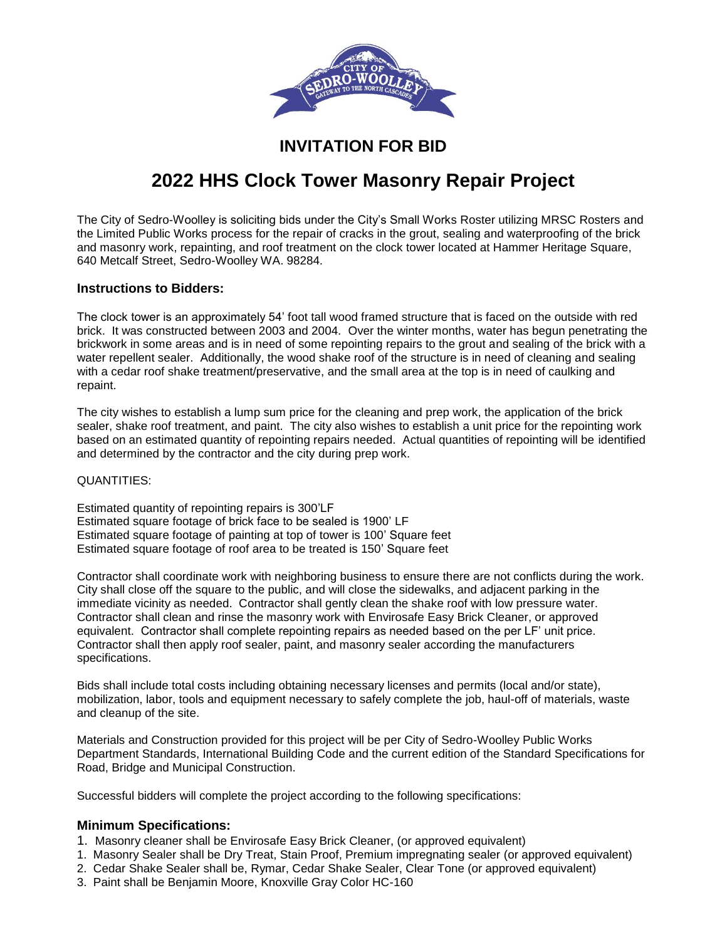

## **INVITATION FOR BID**

# **2022 HHS Clock Tower Masonry Repair Project**

The City of Sedro-Woolley is soliciting bids under the City's Small Works Roster utilizing MRSC Rosters and the Limited Public Works process for the repair of cracks in the grout, sealing and waterproofing of the brick and masonry work, repainting, and roof treatment on the clock tower located at Hammer Heritage Square, 640 Metcalf Street, Sedro-Woolley WA. 98284.

#### **Instructions to Bidders:**

The clock tower is an approximately 54' foot tall wood framed structure that is faced on the outside with red brick. It was constructed between 2003 and 2004. Over the winter months, water has begun penetrating the brickwork in some areas and is in need of some repointing repairs to the grout and sealing of the brick with a water repellent sealer. Additionally, the wood shake roof of the structure is in need of cleaning and sealing with a cedar roof shake treatment/preservative, and the small area at the top is in need of caulking and repaint.

The city wishes to establish a lump sum price for the cleaning and prep work, the application of the brick sealer, shake roof treatment, and paint. The city also wishes to establish a unit price for the repointing work based on an estimated quantity of repointing repairs needed. Actual quantities of repointing will be identified and determined by the contractor and the city during prep work.

#### QUANTITIES:

Estimated quantity of repointing repairs is 300'LF Estimated square footage of brick face to be sealed is 1900' LF Estimated square footage of painting at top of tower is 100' Square feet Estimated square footage of roof area to be treated is 150' Square feet

Contractor shall coordinate work with neighboring business to ensure there are not conflicts during the work. City shall close off the square to the public, and will close the sidewalks, and adjacent parking in the immediate vicinity as needed. Contractor shall gently clean the shake roof with low pressure water. Contractor shall clean and rinse the masonry work with Envirosafe Easy Brick Cleaner, or approved equivalent. Contractor shall complete repointing repairs as needed based on the per LF' unit price. Contractor shall then apply roof sealer, paint, and masonry sealer according the manufacturers specifications.

Bids shall include total costs including obtaining necessary licenses and permits (local and/or state), mobilization, labor, tools and equipment necessary to safely complete the job, haul-off of materials, waste and cleanup of the site.

Materials and Construction provided for this project will be per City of Sedro-Woolley Public Works Department Standards, International Building Code and the current edition of the Standard Specifications for Road, Bridge and Municipal Construction.

Successful bidders will complete the project according to the following specifications:

#### **Minimum Specifications:**

- 1. Masonry cleaner shall be Envirosafe Easy Brick Cleaner, (or approved equivalent)
- 1. Masonry Sealer shall be Dry Treat, Stain Proof, Premium impregnating sealer (or approved equivalent)
- 2. Cedar Shake Sealer shall be, Rymar, Cedar Shake Sealer, Clear Tone (or approved equivalent)
- 3. Paint shall be Benjamin Moore, Knoxville Gray Color HC-160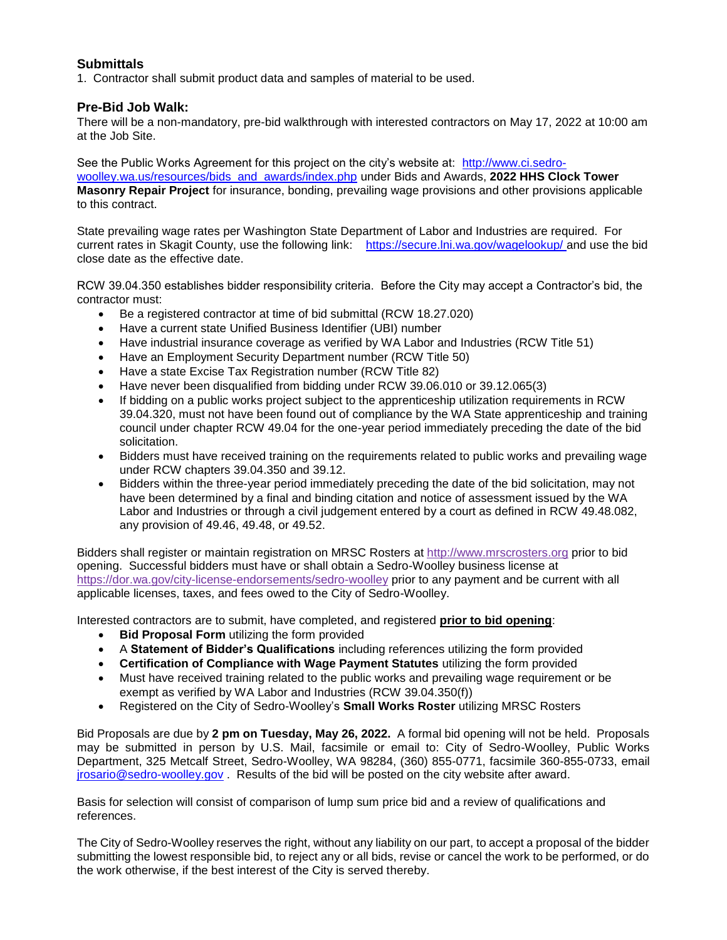### **Submittals**

1. Contractor shall submit product data and samples of material to be used.

#### **Pre-Bid Job Walk:**

There will be a non-mandatory, pre-bid walkthrough with interested contractors on May 17, 2022 at 10:00 am at the Job Site.

See the Public Works Agreement for this project on the city's website at: [http://www.ci.sedro](http://www.ci.sedro-woolley.wa.us/resources/bids_and_awards/index.php)[woolley.wa.us/resources/bids\\_and\\_awards/index.php](http://www.ci.sedro-woolley.wa.us/resources/bids_and_awards/index.php) under Bids and Awards, **2022 HHS Clock Tower Masonry Repair Project** for insurance, bonding, prevailing wage provisions and other provisions applicable to this contract.

State prevailing wage rates per Washington State Department of Labor and Industries are required. For current rates in Skagit County, use the following link: <https://secure.lni.wa.gov/wagelookup/> and use the bid close date as the effective date.

RCW 39.04.350 establishes bidder responsibility criteria. Before the City may accept a Contractor's bid, the contractor must:

- Be a registered contractor at time of bid submittal (RCW 18.27.020)
- Have a current state Unified Business Identifier (UBI) number
- Have industrial insurance coverage as verified by WA Labor and Industries (RCW Title 51)
- Have an Employment Security Department number (RCW Title 50)
- Have a state Excise Tax Registration number (RCW Title 82)
- Have never been disqualified from bidding under RCW 39.06.010 or 39.12.065(3)
- If bidding on a public works project subject to the apprenticeship utilization requirements in RCW 39.04.320, must not have been found out of compliance by the WA State apprenticeship and training council under chapter RCW 49.04 for the one-year period immediately preceding the date of the bid solicitation.
- Bidders must have received training on the requirements related to public works and prevailing wage under RCW chapters 39.04.350 and 39.12.
- Bidders within the three-year period immediately preceding the date of the bid solicitation, may not have been determined by a final and binding citation and notice of assessment issued by the WA Labor and Industries or through a civil judgement entered by a court as defined in RCW 49.48.082, any provision of 49.46, 49.48, or 49.52.

Bidders shall register or maintain registration on MRSC Rosters at [http://www.mrscrosters.org](http://www.mrscrosters.org/) prior to bid opening. Successful bidders must have or shall obtain a Sedro-Woolley business license at <https://dor.wa.gov/city-license-endorsements/sedro-woolley> prior to any payment and be current with all applicable licenses, taxes, and fees owed to the City of Sedro-Woolley.

Interested contractors are to submit, have completed, and registered **prior to bid opening**:

- **Bid Proposal Form** utilizing the form provided
- A **Statement of Bidder's Qualifications** including references utilizing the form provided
- **Certification of Compliance with Wage Payment Statutes** utilizing the form provided
- Must have received training related to the public works and prevailing wage requirement or be exempt as verified by WA Labor and Industries (RCW 39.04.350(f))
- Registered on the City of Sedro-Woolley's **Small Works Roster** utilizing MRSC Rosters

Bid Proposals are due by **2 pm on Tuesday, May 26, 2022.** A formal bid opening will not be held. Proposals may be submitted in person by U.S. Mail, facsimile or email to: City of Sedro-Woolley, Public Works Department, 325 Metcalf Street, Sedro-Woolley, WA 98284, (360) 855-0771, facsimile 360-855-0733, email [jrosario@sedro-woolley.gov](mailto:jrosario@sedro-woolley.gov) . Results of the bid will be posted on the city website after award.

Basis for selection will consist of comparison of lump sum price bid and a review of qualifications and references.

The City of Sedro-Woolley reserves the right, without any liability on our part, to accept a proposal of the bidder submitting the lowest responsible bid, to reject any or all bids, revise or cancel the work to be performed, or do the work otherwise, if the best interest of the City is served thereby.